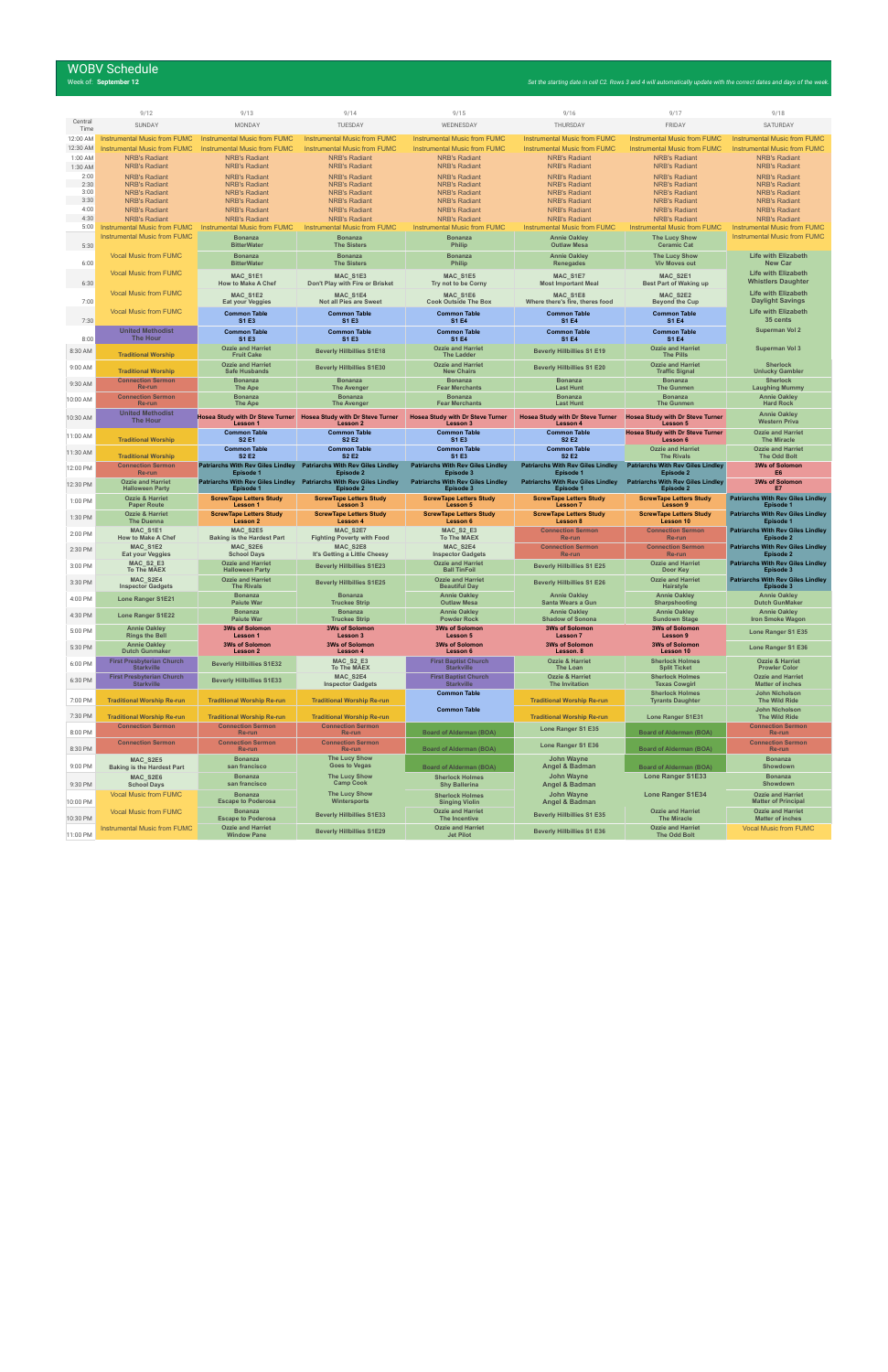# WOBV Schedule<br>Week of: September 12

|                 | 9/12                                                  | 9/13                                                  | 9/14                                                                             | 9/15                                                  | 9/16                                                  | 9/17                                                  | 9/18                                                    |
|-----------------|-------------------------------------------------------|-------------------------------------------------------|----------------------------------------------------------------------------------|-------------------------------------------------------|-------------------------------------------------------|-------------------------------------------------------|---------------------------------------------------------|
| Central<br>Time | SUNDAY                                                | MONDAY                                                | TUESDAY                                                                          | WEDNESDAY                                             | THURSDAY                                              | FRIDAY                                                | SATURDAY                                                |
| 12:00 AM        | <b>Instrumental Music from FUMC</b>                   | <b>Instrumental Music from FUMC</b>                   | <b>Instrumental Music from FUMC</b>                                              | <b>Instrumental Music from FUMC</b>                   | <b>Instrumental Music from FUMC</b>                   | <b>Instrumental Music from FUMC</b>                   | <b>Instrumental Music from FUMC</b>                     |
| 12:30 AM        | <b>Instrumental Music from FUMC</b>                   | <b>Instrumental Music from FUMC</b>                   | <b>Instrumental Music from FUMC</b>                                              | <b>Instrumental Music from FUMC</b>                   | <b>Instrumental Music from FUMC</b>                   | <b>Instrumental Music from FUMC</b>                   | <b>Instrumental Music from FUMC</b>                     |
| 1:00 AM         | <b>NRB's Radiant</b>                                  | <b>NRB's Radiant</b>                                  | <b>NRB's Radiant</b>                                                             | <b>NRB's Radiant</b>                                  | <b>NRB's Radiant</b>                                  | <b>NRB's Radiant</b>                                  | <b>NRB's Radiant</b>                                    |
| 1:30 AM         | <b>NRB's Radiant</b>                                  | <b>NRB's Radiant</b>                                  | <b>NRB's Radiant</b>                                                             | <b>NRB's Radiant</b>                                  | <b>NRB's Radiant</b>                                  | <b>NRB's Radiant</b>                                  | <b>NRB's Radiant</b>                                    |
| 2:00            | <b>NRB's Radiant</b>                                  | <b>NRB's Radiant</b>                                  | <b>NRB's Radiant</b>                                                             | <b>NRB's Radiant</b>                                  | <b>NRB's Radiant</b>                                  | <b>NRB's Radiant</b>                                  | <b>NRB's Radiant</b>                                    |
| 2:30<br>3:00    | <b>NRB's Radiant</b>                                  | <b>NRB's Radiant</b>                                  | <b>NRB's Radiant</b>                                                             | <b>NRB's Radiant</b>                                  | <b>NRB's Radiant</b>                                  | <b>NRB's Radiant</b>                                  | <b>NRB's Radiant</b>                                    |
| 3:30            | <b>NRB's Radiant</b><br><b>NRB's Radiant</b>          | <b>NRB's Radiant</b><br><b>NRB's Radiant</b>          | <b>NRB's Radiant</b><br><b>NRB's Radiant</b>                                     | <b>NRB's Radiant</b><br><b>NRB's Radiant</b>          | <b>NRB's Radiant</b><br><b>NRB's Radiant</b>          | <b>NRB's Radiant</b><br><b>NRB's Radiant</b>          | <b>NRB's Radiant</b><br><b>NRB's Radiant</b>            |
| 4:00            | <b>NRB's Radiant</b>                                  | <b>NRB's Radiant</b>                                  | <b>NRB's Radiant</b>                                                             | <b>NRB's Radiant</b>                                  | <b>NRB's Radiant</b>                                  | <b>NRB's Radiant</b>                                  | <b>NRB's Radiant</b>                                    |
| 4:30            | <b>NRB's Radiant</b>                                  | <b>NRB's Radiant</b>                                  | <b>NRB's Radiant</b>                                                             | <b>NRB's Radiant</b>                                  | <b>NRB's Radiant</b>                                  | <b>NRB's Radiant</b>                                  | <b>NRB's Radiant</b>                                    |
| 5:00            | <b>Instrumental Music from FUMC</b>                   | <b>Instrumental Music from FUMC</b>                   | <b>Instrumental Music from FUMC</b>                                              | <b>Instrumental Music from FUMC</b>                   | <b>Instrumental Music from FUMC</b>                   | <b>Instrumental Music from FUMC</b>                   | <b>Instrumental Music from FUMC</b>                     |
| 5:30            | <b>Instrumental Music from FUMC</b>                   | <b>Bonanza</b><br><b>BitterWater</b>                  | <b>Bonanza</b><br><b>The Sisters</b>                                             | <b>Bonanza</b><br>Philip                              | <b>Annie Oakley</b><br><b>Outlaw Mesa</b>             | <b>The Lucy Show</b><br><b>Ceramic Cat</b>            | <b>Instrumental Music from FUMC</b>                     |
|                 | <b>Vocal Music from FUMC</b>                          | <b>Bonanza</b>                                        | <b>Bonanza</b>                                                                   | <b>Bonanza</b>                                        | <b>Annie Oakley</b>                                   | <b>The Lucy Show</b>                                  | <b>Life with Elizabeth</b>                              |
| 6:00            |                                                       | <b>BitterWater</b>                                    | <b>The Sisters</b>                                                               | Philip                                                | Renegades                                             | <b>Viv Moves out</b>                                  | <b>New Car</b>                                          |
|                 | <b>Vocal Music from FUMC</b>                          | MAC S1E1                                              | MAC_S1E3                                                                         | MAC_S1E5                                              | MAC_S1E7                                              | MAC_S2E1                                              | <b>Life with Elizabeth</b>                              |
| 6:30            |                                                       | <b>How to Make A Chef</b>                             | Don't Play with Fire or Brisket                                                  | Try not to be Corny                                   | <b>Most Important Meal</b>                            | <b>Best Part of Waking up</b>                         | <b>Whistlers Daughter</b>                               |
|                 | <b>Vocal Music from FUMC</b>                          | MAC S1E2                                              | MAC_S1E4                                                                         | MAC_S1E6                                              | MAC_S1E8                                              | MAC_S2E2                                              | <b>Life with Elizabeth</b>                              |
| 7:00            |                                                       | <b>Eat your Veggies</b>                               | Not all Pies are Sweet                                                           | <b>Cook Outside The Box</b>                           | Where there's fire, theres food                       | <b>Beyond the Cup</b>                                 | <b>Daylight Savings</b>                                 |
| 7:30            | <b>Vocal Music from FUMC</b>                          | <b>Common Table</b><br>S1 E3                          | <b>Common Table</b><br>S1 E3                                                     | <b>Common Table</b><br><b>S1 E4</b>                   | <b>Common Table</b><br><b>S1 E4</b>                   | <b>Common Table</b><br><b>S1 E4</b>                   | <b>Life with Elizabeth</b><br>35 cents                  |
|                 | <b>United Methodist</b>                               | <b>Common Table</b>                                   | <b>Common Table</b>                                                              | <b>Common Table</b>                                   | <b>Common Table</b>                                   | <b>Common Table</b>                                   | <b>Superman Vol 2</b>                                   |
| 8:00            | The Hour                                              | S1 E3                                                 | S1 E3                                                                            | <b>S1 E4</b>                                          | <b>S1 E4</b>                                          | <b>S1 E4</b>                                          |                                                         |
| 8:30 AM         | <b>Traditional Worship</b>                            | <b>Ozzie and Harriet</b><br><b>Fruit Cake</b>         | <b>Beverly Hillbillies S1E18</b>                                                 | <b>Ozzie and Harriet</b><br><b>The Ladder</b>         | <b>Beverly Hillbillies S1 E19</b>                     | <b>Ozzie and Harriet</b><br><b>The Pills</b>          | <b>Superman Vol 3</b>                                   |
| 9:00 AM         |                                                       | <b>Ozzie and Harriet</b>                              | <b>Beverly Hillbillies S1E30</b>                                                 | <b>Ozzie and Harriet</b>                              | <b>Beverly Hillbillies S1 E20</b>                     | <b>Ozzie and Harriet</b>                              | <b>Sherlock</b>                                         |
|                 | <b>Traditional Worship</b>                            | <b>Safe Husbands</b>                                  |                                                                                  | <b>New Chairs</b>                                     |                                                       | <b>Traffic Signal</b>                                 | <b>Unlucky Gambler</b>                                  |
| 9:30 AM         | <b>Connection Sermon</b><br>Re-run                    | <b>Bonanza</b><br><b>The Ape</b>                      | <b>Bonanza</b><br><b>The Avenger</b>                                             | <b>Bonanza</b><br><b>Fear Merchants</b>               | <b>Bonanza</b><br><b>Last Hunt</b>                    | <b>Bonanza</b><br><b>The Gunmen</b>                   | <b>Sherlock</b><br><b>Laughing Mummy</b>                |
| 10:00 AM        | <b>Connection Sermon</b>                              | <b>Bonanza</b>                                        | <b>Bonanza</b>                                                                   | <b>Bonanza</b>                                        | <b>Bonanza</b>                                        | <b>Bonanza</b>                                        | <b>Annie Oakley</b>                                     |
|                 | Re-run                                                | <b>The Ape</b>                                        | <b>The Avenger</b>                                                               | <b>Fear Merchants</b>                                 | <b>Last Hunt</b>                                      | <b>The Gunmen</b>                                     | <b>Hard Rock</b>                                        |
| 10:30 AM        | <b>United Methodist</b><br><b>The Hour</b>            | Lesson 1                                              | Hosea Study with Dr Steve Turner Hosea Study with Dr Steve Turner<br>Lesson 2    | <b>Hosea Study with Dr Steve Turner</b><br>Lesson 3   | <b>Hosea Study with Dr Steve Turner</b><br>Lesson 4   | <b>Hosea Study with Dr Steve Turner</b><br>Lesson 5   | <b>Annie Oakley</b><br><b>Western Priva</b>             |
| 11:00 AM        |                                                       | <b>Common Table</b>                                   | <b>Common Table</b>                                                              | <b>Common Table</b>                                   | <b>Common Table</b>                                   | <b>Hosea Study with Dr Steve Turner</b>               | <b>Ozzie and Harriet</b>                                |
|                 | <b>Traditional Worship</b>                            | <b>S2 E1</b><br><b>Common Table</b>                   | S <sub>2</sub> E <sub>2</sub><br><b>Common Table</b>                             | S1 E3<br><b>Common Table</b>                          | S <sub>2</sub> E <sub>2</sub><br><b>Common Table</b>  | Lesson 6<br><b>Ozzie and Harriet</b>                  | <b>The Miracle</b><br><b>Ozzie and Harriet</b>          |
| 11:30 AM        | <b>Traditional Worship</b>                            | <b>S2 E2</b>                                          | S <sub>2</sub> E <sub>2</sub>                                                    | S1 E3                                                 | <b>S2 E2</b>                                          | <b>The Rivals</b>                                     | <b>The Odd Bolt</b>                                     |
| 12:00 PM        | <b>Connection Sermon</b>                              |                                                       | Patriarchs With Rev Giles Lindley Patriarchs With Rev Giles Lindley              | <b>Patriarchs With Rev Giles Lindley</b>              | <b>Patriarchs With Rev Giles Lindley</b>              | <b>Patriarchs With Rev Giles Lindley</b>              | <b>3Ws of Solomon</b>                                   |
|                 |                                                       |                                                       |                                                                                  |                                                       |                                                       |                                                       |                                                         |
|                 | Re-run<br><b>Ozzie and Harriet</b>                    | Episode 1                                             | Episode 2<br>Patriarchs With Rev Giles Lindley Patriarchs With Rev Giles Lindley | Episode 3<br><b>Patriarchs With Rev Giles Lindley</b> | Episode 1<br><b>Patriarchs With Rev Giles Lindley</b> | Episode 2<br><b>Patriarchs With Rev Giles Lindley</b> | E6<br><b>3Ws of Solomon</b>                             |
| 12:30 PM        | <b>Halloween Party</b>                                | Episode 1                                             | Episode 2                                                                        | Episode 3                                             | <b>Episode 1</b>                                      | Episode 2                                             | E7                                                      |
| 1:00 PM         | <b>Ozzie &amp; Harriet</b>                            | <b>ScrewTape Letters Study</b><br>Lesson 1            | <b>ScrewTape Letters Study</b><br>Lesson 3                                       | <b>ScrewTape Letters Study</b>                        | <b>ScrewTape Letters Study</b>                        | <b>ScrewTape Letters Study</b><br><b>Lesson 9</b>     | <b>Patriarchs With Rev Giles Lindley</b>                |
|                 | <b>Paper Route</b><br><b>Ozzie &amp; Harriet</b>      | <b>ScrewTape Letters Study</b>                        | <b>ScrewTape Letters Study</b>                                                   | <b>Lesson 5</b><br><b>ScrewTape Letters Study</b>     | <b>Lesson 7</b><br><b>ScrewTape Letters Study</b>     | <b>ScrewTape Letters Study</b>                        | Episode 1<br><b>Patriarchs With Rev Giles Lindley</b>   |
| 1:30 PM         | <b>The Duenna</b>                                     | Lesson 2                                              | Lesson 4                                                                         | Lesson 6                                              | Lesson 8                                              | <b>Lesson 10</b>                                      | Episode 1                                               |
| 2:00 PM         | MAC_S1E1                                              | MAC_S2E5                                              | MAC_S2E7                                                                         | MAC_S2_E3                                             | <b>Connection Sermon</b>                              | <b>Connection Sermon</b>                              | <b>Patriarchs With Rev Giles Lindley</b>                |
|                 | <b>How to Make A Chef</b><br>MAC S1E2                 | <b>Baking is the Hardest Part</b><br>MAC S2E6         | <b>Fighting Poverty with Food</b><br>MAC S2E8                                    | <b>To The MAEX</b><br>MAC S2E4                        | Re-run<br><b>Connection Sermon</b>                    | Re-run<br><b>Connection Sermon</b>                    | Episode 2<br><b>Patriarchs With Rev Giles Lindley</b>   |
| 2:30 PM         | <b>Eat your Veggies</b>                               | <b>School Days</b>                                    | It's Getting a Little Cheesy                                                     | <b>Inspector Gadgets</b>                              | Re-run                                                | Re-run                                                | Episode 2                                               |
| 3:00 PM         | MAC_S2_E3<br><b>To The MAEX</b>                       | <b>Ozzie and Harriet</b><br><b>Halloween Party</b>    | <b>Beverly Hillbillies S1E23</b>                                                 | <b>Ozzie and Harriet</b><br><b>Ball TinFoil</b>       | <b>Beverly Hillbillies S1 E25</b>                     | <b>Ozzie and Harriet</b>                              | <b>Patriarchs With Rev Giles Lindley</b><br>Episode 3   |
|                 | MAC_S2E4                                              | <b>Ozzie and Harriet</b>                              |                                                                                  | <b>Ozzie and Harriet</b>                              |                                                       | Door Key<br><b>Ozzie and Harriet</b>                  | <b>Patriarchs With Rev Giles Lindley</b>                |
| 3:30 PM         | <b>Inspector Gadgets</b>                              | <b>The Rivals</b>                                     | <b>Beverly Hillbillies S1E25</b>                                                 | <b>Beautiful Day</b>                                  | <b>Beverly Hillbillies S1 E26</b>                     | Hairstyle                                             | Episode 3                                               |
| 4:00 PM         | Lone Ranger S1E21                                     | <b>Bonanza</b><br><b>Paiute War</b>                   | <b>Bonanza</b><br><b>Truckee Strip</b>                                           | <b>Annie Oakley</b><br><b>Outlaw Mesa</b>             | <b>Annie Oakley</b><br>Santa Wears a Gun              | <b>Annie Oakley</b><br>Sharpshooting                  | <b>Annie Oakley</b><br><b>Dutch GunMaker</b>            |
|                 |                                                       | <b>Bonanza</b>                                        | <b>Bonanza</b>                                                                   | <b>Annie Oakley</b>                                   | <b>Annie Oakley</b>                                   | <b>Annie Oakley</b>                                   | <b>Annie Oakley</b>                                     |
| 4:30 PM         | <b>Lone Ranger S1E22</b>                              | <b>Paiute War</b>                                     | <b>Truckee Strip</b>                                                             | <b>Powder Rock</b>                                    | <b>Shadow of Sonona</b>                               | <b>Sundown Stage</b>                                  | <b>Iron Smoke Wagon</b>                                 |
| 5:00 PM         | <b>Annie Oakley</b><br><b>Rings the Bell</b>          | <b>3Ws of Solomon</b><br>Lesson 1                     | <b>3Ws of Solomon</b><br>Lesson 3                                                | <b>3Ws of Solomon</b><br>Lesson 5                     | <b>3Ws of Solomon</b><br><b>Lesson 7</b>              | <b>3Ws of Solomon</b><br>Lesson 9                     | Lone Ranger S1 E35                                      |
|                 | <b>Annie Oakley</b>                                   | <b>3Ws of Solomon</b>                                 | <b>3Ws of Solomon</b>                                                            | <b>3Ws of Solomon</b>                                 | <b>3Ws of Solomon</b>                                 | <b>3Ws of Solomon</b>                                 |                                                         |
| 5:30 PM         | <b>Dutch Gunmaker</b>                                 | Lesson 2                                              | Lesson 4                                                                         | Lesson 6                                              | Lesson. 8                                             | Lesson 10                                             | Lone Ranger S1 E36                                      |
| 6:00 PM         | <b>First Presbyterian Church</b><br><b>Starkville</b> | <b>Beverly Hillbillies S1E32</b>                      | MAC_S2_E3<br><b>To The MAEX</b>                                                  | <b>First Baptist Church</b><br><b>Starkville</b>      | <b>Ozzie &amp; Harriet</b><br><b>The Loan</b>         | <b>Sherlock Holmes</b><br><b>Split Ticket</b>         | <b>Ozzie &amp; Harriet</b><br><b>Prowler Color</b>      |
| 6:30 PM         | <b>First Presbyterian Church</b><br><b>Starkville</b> | <b>Beverly Hillbillies S1E33</b>                      | MAC_S2E4<br><b>Inspector Gadgets</b>                                             | <b>First Baptist Church</b><br><b>Starkville</b>      | <b>Ozzie &amp; Harriet</b><br><b>The Invitation</b>   | <b>Sherlock Holmes</b><br><b>Texas Cowgirl</b>        | <b>Ozzie and Harriet</b><br><b>Matter of inches</b>     |
|                 |                                                       |                                                       |                                                                                  | <b>Common Table</b>                                   |                                                       | <b>Sherlock Holmes</b>                                | <b>John Nicholson</b>                                   |
| 7:00 PM         | <b>Traditional Worship Re-run</b>                     | <b>Traditional Worship Re-run</b>                     | <b>Traditional Worship Re-run</b>                                                |                                                       | <b>Traditional Worship Re-run</b>                     | <b>Tyrants Daughter</b>                               | The Wild Ride                                           |
| 7:30 PM         | <b>Traditional Worship Re-run</b>                     | <b>Traditional Worship Re-run</b>                     | <b>Traditional Worship Re-run</b>                                                | <b>Common Table</b>                                   | <b>Traditional Worship Re-run</b>                     | Lone Ranger S1E31                                     | <b>John Nicholson</b><br><b>The Wild Ride</b>           |
|                 | <b>Connection Sermon</b>                              | <b>Connection Sermon</b>                              | <b>Connection Sermon</b>                                                         |                                                       | Lone Ranger S1 E35                                    |                                                       | <b>Connection Sermon</b>                                |
| 8:00 PM         | <b>Connection Sermon</b>                              | Re-run<br><b>Connection Sermon</b>                    | Re-run<br><b>Connection Sermon</b>                                               | <b>Board of Alderman (BOA)</b>                        |                                                       | <b>Board of Alderman (BOA)</b>                        | Re-run<br><b>Connection Sermon</b>                      |
| 8:30 PM         |                                                       | Re-run                                                | Re-run                                                                           | <b>Board of Alderman (BOA)</b>                        | Lone Ranger S1 E36                                    | <b>Board of Alderman (BOA)</b>                        | Re-run                                                  |
| 9:00 PM         | MAC S2E5<br><b>Baking is the Hardest Part</b>         | <b>Bonanza</b><br>san francisco                       | <b>The Lucy Show</b><br>Goes to Vegas                                            | <b>Board of Alderman (BOA)</b>                        | <b>John Wayne</b><br>Angel & Badman                   | <b>Board of Alderman (BOA)</b>                        | <b>Bonanza</b><br>Showdown                              |
|                 | MAC_S2E6                                              | <b>Bonanza</b>                                        | <b>The Lucy Show</b>                                                             | <b>Sherlock Holmes</b>                                | <b>John Wayne</b>                                     | Lone Ranger S1E33                                     | <b>Bonanza</b>                                          |
| 9:30 PM         | <b>School Days</b>                                    | san francisco                                         | <b>Camp Cook</b>                                                                 | <b>Shy Ballerina</b>                                  | Angel & Badman                                        |                                                       | Showdown                                                |
|                 | <b>Vocal Music from FUMC</b>                          | <b>Bonanza</b>                                        | <b>The Lucy Show</b>                                                             | <b>Sherlock Holmes</b>                                | John Wayne                                            | <b>Lone Ranger S1E34</b>                              | <b>Ozzie and Harriet</b>                                |
| 10:00 PM        | <b>Vocal Music from FUMC</b>                          | <b>Escape to Poderosa</b><br><b>Bonanza</b>           | Wintersports                                                                     | <b>Singing Violin</b><br><b>Ozzie and Harriet</b>     | Angel & Badman                                        | <b>Ozzie and Harriet</b>                              | <b>Matter of Principal</b><br><b>Ozzie and Harriet</b>  |
| 10:30 PM        | <b>Instrumental Music from FUMC</b>                   | <b>Escape to Poderosa</b><br><b>Ozzie and Harriet</b> | <b>Beverly Hillbillies S1E33</b>                                                 | The Incentive<br><b>Ozzie and Harriet</b>             | <b>Beverly Hillbillies S1 E35</b>                     | <b>The Miracle</b><br><b>Ozzie and Harriet</b>        | <b>Matter of inches</b><br><b>Vocal Music from FUMC</b> |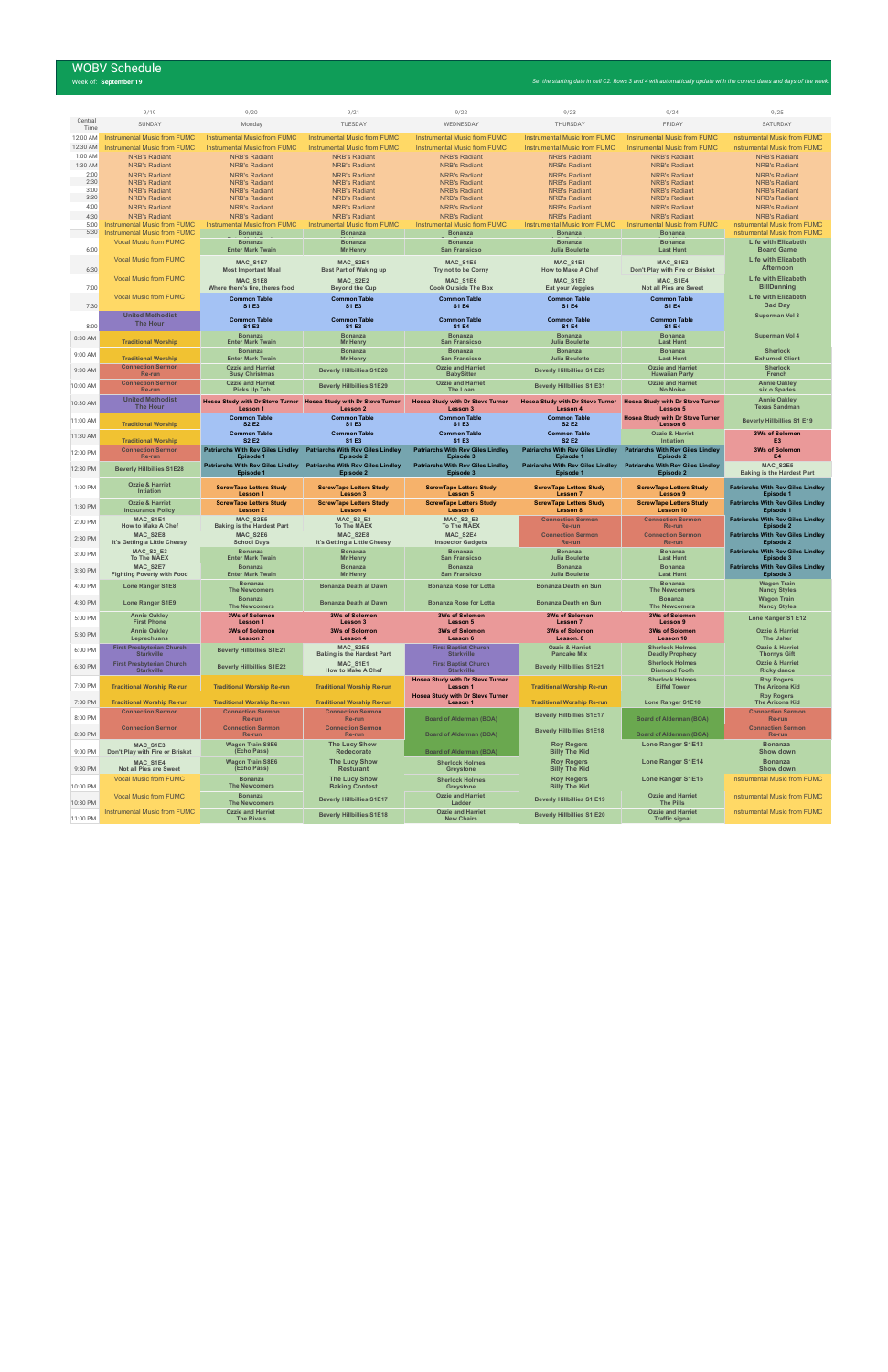# WOBV Schedule<br>Week of: September 19

|                      | 9/19                                                                       | 9/20                                                                  | 9/21                                                                             | 9/22                                                         | 9/23                                                                             | 9/24                                                                  | 9/25                                                                       |
|----------------------|----------------------------------------------------------------------------|-----------------------------------------------------------------------|----------------------------------------------------------------------------------|--------------------------------------------------------------|----------------------------------------------------------------------------------|-----------------------------------------------------------------------|----------------------------------------------------------------------------|
| Central<br>Time      | SUNDAY                                                                     | Monday                                                                | TUESDAY                                                                          | WEDNESDAY                                                    | THURSDAY                                                                         | FRIDAY                                                                | SATURDAY                                                                   |
| 12:00 AM             | <b>Instrumental Music from FUMC</b>                                        | <b>Instrumental Music from FUMC</b>                                   | <b>Instrumental Music from FUMC</b>                                              | <b>Instrumental Music from FUMC</b>                          | <b>Instrumental Music from FUMC</b>                                              | <b>Instrumental Music from FUMC</b>                                   | <b>Instrumental Music from FUMC</b>                                        |
| 12:30 AM             | <b>Instrumental Music from FUMC</b>                                        | <b>Instrumental Music from FUMC</b>                                   | <b>Instrumental Music from FUMC</b>                                              | <b>Instrumental Music from FUMC</b>                          | <b>Instrumental Music from FUMC</b>                                              | <b>Instrumental Music from FUMC</b>                                   | <b>Instrumental Music from FUMC</b>                                        |
| 1:00 AM<br>1:30 AM   | <b>NRB's Radiant</b><br><b>NRB's Radiant</b>                               | <b>NRB's Radiant</b><br><b>NRB's Radiant</b>                          | <b>NRB's Radiant</b><br><b>NRB's Radiant</b>                                     | <b>NRB's Radiant</b><br><b>NRB's Radiant</b>                 | <b>NRB's Radiant</b><br><b>NRB's Radiant</b>                                     | <b>NRB's Radiant</b><br><b>NRB's Radiant</b>                          | <b>NRB's Radiant</b><br><b>NRB's Radiant</b>                               |
| 2:00                 | <b>NRB's Radiant</b>                                                       | <b>NRB's Radiant</b>                                                  | <b>NRB's Radiant</b>                                                             | <b>NRB's Radiant</b>                                         | <b>NRB's Radiant</b>                                                             | <b>NRB's Radiant</b>                                                  | <b>NRB's Radiant</b>                                                       |
| 2:30                 | <b>NRB's Radiant</b>                                                       | <b>NRB's Radiant</b>                                                  | <b>NRB's Radiant</b>                                                             | <b>NRB's Radiant</b>                                         | <b>NRB's Radiant</b>                                                             | <b>NRB's Radiant</b>                                                  | <b>NRB's Radiant</b>                                                       |
| 3:00<br>3:30         | <b>NRB's Radiant</b><br><b>NRB's Radiant</b>                               | <b>NRB's Radiant</b><br><b>NRB's Radiant</b>                          | <b>NRB's Radiant</b><br><b>NRB's Radiant</b>                                     | <b>NRB's Radiant</b><br><b>NRB's Radiant</b>                 | <b>NRB's Radiant</b><br><b>NRB's Radiant</b>                                     | <b>NRB's Radiant</b><br><b>NRB's Radiant</b>                          | <b>NRB's Radiant</b><br><b>NRB's Radiant</b>                               |
| 4:00                 | <b>NRB's Radiant</b>                                                       | <b>NRB's Radiant</b>                                                  | <b>NRB's Radiant</b>                                                             | <b>NRB's Radiant</b>                                         | <b>NRB's Radiant</b>                                                             | <b>NRB's Radiant</b>                                                  | <b>NRB's Radiant</b>                                                       |
| 4:30<br>5:00         | <b>NRB's Radiant</b>                                                       | <b>NRB's Radiant</b>                                                  | <b>NRB's Radiant</b>                                                             | <b>NRB's Radiant</b>                                         | <b>NRB's Radiant</b>                                                             | <b>NRB's Radiant</b>                                                  | <b>NRB's Radiant</b>                                                       |
| 5:30                 | <b>Instrumental Music from FUMC</b><br><b>Instrumental Music from FUMC</b> | <b>Instrumental Music from FUMC</b><br><b>Bonanza</b>                 | <b>Instrumental Music from FUMC</b><br><b>Bonanza</b>                            | <b>Instrumental Music from FUMC</b><br><b>Bonanza</b>        | Instrumental Music from FUMC<br><b>Bonanza</b>                                   | <b>Instrumental Music from FUMC</b><br><b>Bonanza</b>                 | <b>Instrumental Music from FUMC</b><br><b>Instrumental Music from FUMC</b> |
|                      | <b>Vocal Music from FUMC</b>                                               | <b>Bonanza</b>                                                        | <b>Bonanza</b>                                                                   | <b>Bonanza</b>                                               | <b>Bonanza</b>                                                                   | <b>Bonanza</b>                                                        | <b>Life with Elizabeth</b>                                                 |
| 6:00                 | <b>Vocal Music from FUMC</b>                                               | <b>Enter Mark Twain</b>                                               | <b>Mr Henry</b>                                                                  | <b>San Fransicso</b>                                         | <b>Julia Boulette</b>                                                            | <b>Last Hunt</b>                                                      | <b>Board Game</b><br><b>Life with Elizabeth</b>                            |
| 6:30                 |                                                                            | MAC_S1E7<br><b>Most Important Meal</b>                                | MAC_S2E1<br>Best Part of Waking up                                               | MAC_S1E5<br>Try not to be Corny                              | MAC_S1E1<br><b>How to Make A Chef</b>                                            | MAC_S1E3<br>Don't Play with Fire or Brisket                           | Afternoon                                                                  |
| 7:00                 | <b>Vocal Music from FUMC</b>                                               | MAC_S1E8<br>Where there's fire, theres food                           | MAC_S2E2<br><b>Beyond the Cup</b>                                                | MAC_S1E6<br><b>Cook Outside The Box</b>                      | MAC_S1E2<br><b>Eat your Veggies</b>                                              | MAC_S1E4<br>Not all Pies are Sweet                                    | <b>Life with Elizabeth</b><br><b>BillDunning</b>                           |
| 7:30                 | <b>Vocal Music from FUMC</b>                                               | <b>Common Table</b><br>S1 E3                                          | <b>Common Table</b><br>S1 E3                                                     | <b>Common Table</b><br><b>S1 E4</b>                          | <b>Common Table</b><br><b>S1 E4</b>                                              | <b>Common Table</b><br><b>S1 E4</b>                                   | <b>Life with Elizabeth</b><br><b>Bad Day</b>                               |
|                      | <b>United Methodist</b><br>The Hour                                        | <b>Common Table</b>                                                   | <b>Common Table</b>                                                              | <b>Common Table</b>                                          | <b>Common Table</b>                                                              | <b>Common Table</b>                                                   | Superman Vol 3                                                             |
| 8:00                 |                                                                            | S1 E3<br><b>Bonanza</b>                                               | S1 E3<br><b>Bonanza</b>                                                          | <b>S1 E4</b><br><b>Bonanza</b>                               | <b>S1 E4</b><br><b>Bonanza</b>                                                   | <b>S1 E4</b><br><b>Bonanza</b>                                        |                                                                            |
| 8:30 AM              | <b>Traditional Worship</b>                                                 | <b>Enter Mark Twain</b>                                               | <b>Mr Henry</b>                                                                  | <b>San Fransicso</b>                                         | <b>Julia Boulette</b>                                                            | <b>Last Hunt</b>                                                      | Superman Vol 4                                                             |
| 9:00 AM              | <b>Traditional Worship</b>                                                 | <b>Bonanza</b><br><b>Enter Mark Twain</b>                             | <b>Bonanza</b><br><b>Mr Henry</b>                                                | <b>Bonanza</b><br><b>San Fransicso</b>                       | <b>Bonanza</b><br><b>Julia Boulette</b>                                          | <b>Bonanza</b><br><b>Last Hunt</b>                                    | <b>Sherlock</b><br><b>Exhumed Client</b>                                   |
| 9:30 AM              | <b>Connection Sermon</b>                                                   | <b>Ozzie and Harriet</b>                                              | <b>Beverly Hillbillies S1E28</b>                                                 | <b>Ozzie and Harriet</b>                                     | <b>Beverly Hillbillies S1 E29</b>                                                | <b>Ozzie and Harriet</b>                                              | <b>Sherlock</b>                                                            |
|                      | Re-run<br><b>Connection Sermon</b>                                         | <b>Busy Christmas</b><br><b>Ozzie and Harriet</b>                     |                                                                                  | <b>BabySitter</b><br><b>Ozzie and Harriet</b>                |                                                                                  | <b>Hawaiian Party</b><br><b>Ozzie and Harriet</b>                     | French<br><b>Annie Oakley</b>                                              |
| 10:00 AM             | Re-run                                                                     | <b>Picks Up Tab</b>                                                   | <b>Beverly Hillbillies S1E29</b>                                                 | <b>The Loan</b>                                              | <b>Beverly Hillbillies S1 E31</b>                                                | <b>No Noise</b>                                                       | six o Spades                                                               |
| 10:30 AM             | <b>United Methodist</b><br>The Hour                                        | Lesson 1                                                              | Hosea Study with Dr Steve Turner Hosea Study with Dr Steve Turner<br>Lesson 2    | <b>Hosea Study with Dr Steve Turner</b><br>Lesson 3          | <b>Hosea Study with Dr Steve Turner</b><br><b>Lesson 4</b>                       | <b>Hosea Study with Dr Steve Turner</b><br>Lesson 5                   | <b>Annie Oakley</b><br><b>Texas Sandman</b>                                |
| 11:00 AM             | <b>Traditional Worship</b>                                                 | <b>Common Table</b><br><b>S2 E2</b>                                   | <b>Common Table</b><br>S1 E3                                                     | <b>Common Table</b><br>S1 E3                                 | <b>Common Table</b><br><b>S2 E2</b>                                              | <b>Hosea Study with Dr Steve Turner</b><br>Lesson 6                   | <b>Beverly Hillbillies S1 E19</b>                                          |
| 11:30 AM             | <b>Traditional Worship</b>                                                 | <b>Common Table</b><br><b>S2 E2</b>                                   | <b>Common Table</b><br><b>S1 E3</b>                                              | <b>Common Table</b><br>S1 E3                                 | <b>Common Table</b><br><b>S2 E2</b>                                              | <b>Ozzie &amp; Harriet</b><br><b>Intiation</b>                        | <b>3Ws of Solomon</b><br>E <sub>3</sub>                                    |
| 12:00 PM             | <b>Connection Sermon</b><br>Re-run                                         | <b>Patriarchs With Rev Giles Lindley</b><br><b>Episode 1</b>          | <b>Patriarchs With Rev Giles Lindley</b><br><b>Episode 2</b>                     | <b>Patriarchs With Rev Giles Lindley</b><br>Episode 3        | <b>Patriarchs With Rev Giles Lindley</b><br><b>Episode 1</b>                     | <b>Patriarchs With Rev Giles Lindley</b><br>Episode 2                 | <b>3Ws of Solomon</b><br>E4                                                |
| 12:30 PM             | <b>Beverly Hillbillies S1E28</b>                                           | Episode 1                                                             | Patriarchs With Rev Giles Lindley Patriarchs With Rev Giles Lindley<br>Episode 2 | <b>Patriarchs With Rev Giles Lindley</b><br>Episode 3        | Patriarchs With Rev Giles Lindley Patriarchs With Rev Giles Lindley<br>Episode 1 | Episode 2                                                             | MAC_S2E5<br><b>Baking is the Hardest Part</b>                              |
| 1:00 PM              | <b>Ozzie &amp; Harriet</b><br>Intiation                                    | <b>ScrewTape Letters Study</b><br>Lesson 1                            | <b>ScrewTape Letters Study</b><br>Lesson 3                                       | <b>ScrewTape Letters Study</b><br><b>Lesson 5</b>            | <b>ScrewTape Letters Study</b><br><b>Lesson 7</b>                                | <b>ScrewTape Letters Study</b><br><b>Lesson 9</b>                     | <b>Patriarchs With Rev Giles Lindley</b><br>Episode 1                      |
| 1:30 PM              | <b>Ozzie &amp; Harriet</b><br><b>Incsurance Policy</b>                     | <b>ScrewTape Letters Study</b><br>Lesson 2                            | <b>ScrewTape Letters Study</b><br>Lesson 4                                       | <b>ScrewTape Letters Study</b><br>Lesson 6                   | <b>ScrewTape Letters Study</b><br>Lesson 8                                       | <b>ScrewTape Letters Study</b><br><b>Lesson 10</b>                    | <b>Patriarchs With Rev Giles Lindley</b><br>Episode 1                      |
| 2:00 PM              | MAC S1E1                                                                   |                                                                       |                                                                                  |                                                              |                                                                                  |                                                                       |                                                                            |
|                      |                                                                            | MAC S2E5                                                              | <b>MAC_S2_E3</b>                                                                 | MAC_S2_E3                                                    | <b>Connection Sermon</b>                                                         | <b>Connection Sermon</b>                                              | <b>Patriarchs With Rev Giles Lindley</b>                                   |
|                      | <b>How to Make A Chef</b>                                                  | <b>Baking is the Hardest Part</b>                                     | <b>To The MAEX</b>                                                               | <b>To The MAEX</b>                                           | Re-run                                                                           | Re-run                                                                | Episode 2                                                                  |
| 2:30 PM              | MAC S2E8<br>It's Getting a Little Cheesy                                   | MAC_S2E6<br><b>School Days</b>                                        | MAC_S2E8<br>It's Getting a Little Cheesy                                         | MAC_S2E4<br><b>Inspector Gadgets</b>                         | <b>Connection Sermon</b><br>Re-run                                               | <b>Connection Sermon</b><br>Re-run                                    | <b>Patriarchs With Rev Giles Lindley</b><br>Episode 2                      |
| 3:00 PM              | MAC_S2_E3<br>To The MAEX                                                   | <b>Bonanza</b>                                                        | <b>Bonanza</b>                                                                   | <b>Bonanza</b><br><b>San Fransicso</b>                       | <b>Bonanza</b>                                                                   | <b>Bonanza</b>                                                        | <b>Patriarchs With Rev Giles Lindley</b><br>Episode 3                      |
| 3:30 PM              | MAC_S2E7                                                                   | <b>Enter Mark Twain</b><br><b>Bonanza</b>                             | <b>Mr Henry</b><br><b>Bonanza</b>                                                | <b>Bonanza</b>                                               | <b>Julia Boulette</b><br><b>Bonanza</b>                                          | <b>Last Hunt</b><br><b>Bonanza</b>                                    | <b>Patriarchs With Rev Giles Lindley</b>                                   |
|                      | <b>Fighting Poverty with Food</b>                                          | <b>Enter Mark Twain</b><br><b>Bonanza</b>                             | <b>Mr Henry</b>                                                                  | <b>San Fransicso</b>                                         | <b>Julia Boulette</b>                                                            | <b>Last Hunt</b><br><b>Bonanza</b>                                    | Episode 3<br><b>Wagon Train</b>                                            |
| 4:00 PM              | <b>Lone Ranger S1E8</b>                                                    | <b>The Newcomers</b><br><b>Bonanza</b>                                | <b>Bonanza Death at Dawn</b>                                                     | <b>Bonanza Rose for Lotta</b>                                | <b>Bonanza Death on Sun</b>                                                      | <b>The Newcomers</b><br><b>Bonanza</b>                                | <b>Nancy Styles</b><br><b>Wagon Train</b>                                  |
| 4:30 PM              | <b>Lone Ranger S1E9</b>                                                    | <b>The Newcomers</b>                                                  | <b>Bonanza Death at Dawn</b>                                                     | <b>Bonanza Rose for Lotta</b>                                | <b>Bonanza Death on Sun</b>                                                      | <b>The Newcomers</b>                                                  | <b>Nancy Styles</b>                                                        |
| 5:00 PM              | <b>Annie Oakley</b><br><b>First Phone</b>                                  | <b>3Ws of Solomon</b><br>Lesson 1                                     | <b>3Ws of Solomon</b><br>Lesson 3                                                | <b>3Ws of Solomon</b><br>Lesson 5                            | <b>3Ws of Solomon</b><br><b>Lesson 7</b>                                         | <b>3Ws of Solomon</b><br>Lesson 9                                     | Lone Ranger S1 E12                                                         |
| 5:30 PM              | <b>Annie Oakley</b>                                                        | <b>3Ws of Solomon</b>                                                 | <b>3Ws of Solomon</b>                                                            | <b>3Ws of Solomon</b>                                        | <b>3Ws of Solomon</b>                                                            | <b>3Ws of Solomon</b>                                                 | <b>Ozzie &amp; Harriet</b>                                                 |
| 6:00 PM              | Leprechuans<br><b>First Presbyterian Church</b>                            | <b>Lesson 2</b><br><b>Beverly Hillbillies S1E21</b>                   | Lesson 4<br>MAC_S2E5                                                             | Lesson 6<br><b>First Baptist Church</b>                      | Lesson. 8<br><b>Ozzie &amp; Harriet</b>                                          | Lesson 10<br><b>Sherlock Holmes</b>                                   | <b>The Usher</b><br><b>Ozzie &amp; Harriet</b>                             |
| 6:30 PM              | <b>Starkville</b><br><b>First Presbyterian Church</b>                      | <b>Beverly Hillbillies S1E22</b>                                      | <b>Baking is the Hardest Part</b><br>MAC S1E1                                    | <b>Starkville</b><br><b>First Baptist Church</b>             | <b>Pancake Mix</b><br><b>Beverly Hillbillies S1E21</b>                           | <b>Deadly Prophecy</b><br><b>Sherlock Holmes</b>                      | <b>Thornys Gift</b><br><b>Ozzie &amp; Harriet</b>                          |
|                      | <b>Starkville</b>                                                          |                                                                       | <b>How to Make A Chef</b>                                                        | <b>Starkville</b><br><b>Hosea Study with Dr Steve Turner</b> |                                                                                  | <b>Diamond Tooth</b><br><b>Sherlock Holmes</b>                        | <b>Ricky dance</b><br><b>Roy Rogers</b>                                    |
| 7:00 PM<br>7:30 PM   | <b>Traditional Worship Re-run</b>                                          | <b>Traditional Worship Re-run</b>                                     | <b>Traditional Worship Re-run</b>                                                | Lesson 1<br><b>Hosea Study with Dr Steve Turner</b>          | <b>Traditional Worship Re-run</b>                                                | <b>Eiffel Tower</b>                                                   | <b>The Arizona Kid</b><br><b>Roy Rogers</b>                                |
|                      | <b>Traditional Worship Re-run</b><br><b>Connection Sermon</b>              | <b>Traditional Worship Re-run</b><br><b>Connection Sermon</b>         | <b>Traditional Worship Re-run</b><br><b>Connection Sermon</b>                    | Lesson 1                                                     | <b>Traditional Worship Re-run</b><br><b>Beverly Hillbillies S1E17</b>            | <b>Lone Ranger S1E10</b>                                              | <b>The Arizona Kid</b><br><b>Connection Sermon</b>                         |
| 8:00 PM              | <b>Connection Sermon</b>                                                   | Re-run<br><b>Connection Sermon</b>                                    | Re-run<br><b>Connection Sermon</b>                                               | <b>Board of Alderman (BOA)</b>                               | <b>Beverly Hillbillies S1E18</b>                                                 | <b>Board of Alderman (BOA)</b>                                        | Re-run<br><b>Connection Sermon</b>                                         |
| 8:30 PM              | MAC_S1E3                                                                   | Re-run<br><b>Wagon Train S8E6</b>                                     | Re-run<br><b>The Lucy Show</b>                                                   | <b>Board of Alderman (BOA)</b>                               | <b>Roy Rogers</b>                                                                | <b>Board of Alderman (BOA)</b><br>Lone Ranger S1E13                   | Re-run<br><b>Bonanza</b>                                                   |
| 9:00 PM              | Don't Play with Fire or Brisket                                            | (Echo Pass)                                                           | <b>Redecorate</b>                                                                | <b>Board of Alderman (BOA)</b>                               | <b>Billy The Kid</b>                                                             |                                                                       | Show down                                                                  |
| 9:30 PM              | MAC S1E4<br>Not all Pies are Sweet                                         | <b>Wagon Train S8E6</b><br>(Echo Pass)                                | <b>The Lucy Show</b><br><b>Resturant</b>                                         | <b>Sherlock Holmes</b><br>Greystone                          | <b>Roy Rogers</b><br><b>Billy The Kid</b>                                        | <b>Lone Ranger S1E14</b>                                              | <b>Bonanza</b><br>Show down                                                |
|                      | <b>Vocal Music from FUMC</b>                                               | <b>Bonanza</b>                                                        | <b>The Lucy Show</b>                                                             | <b>Sherlock Holmes</b>                                       | <b>Roy Rogers</b>                                                                | <b>Lone Ranger S1E15</b>                                              | Instrumental Music from FUMC                                               |
| 10:00 PM             | <b>Vocal Music from FUMC</b>                                               | <b>The Newcomers</b><br><b>Bonanza</b>                                | <b>Baking Contest</b>                                                            | Greystone<br><b>Ozzie and Harriet</b>                        | <b>Billy The Kid</b>                                                             | <b>Ozzie and Harriet</b>                                              | <b>Instrumental Music from FUMC</b>                                        |
| 10:30 PM<br>11:00 PM | Instrumental Music from FUMC                                               | <b>The Newcomers</b><br><b>Ozzie and Harriet</b><br><b>The Rivals</b> | <b>Beverly Hillbillies S1E17</b><br><b>Beverly Hillbillies S1E18</b>             | Ladder<br><b>Ozzie and Harriet</b><br><b>New Chairs</b>      | <b>Beverly Hillbillies S1 E19</b><br><b>Beverly Hillbillies S1 E20</b>           | <b>The Pills</b><br><b>Ozzie and Harriet</b><br><b>Traffic signal</b> | Instrumental Music from FUMC                                               |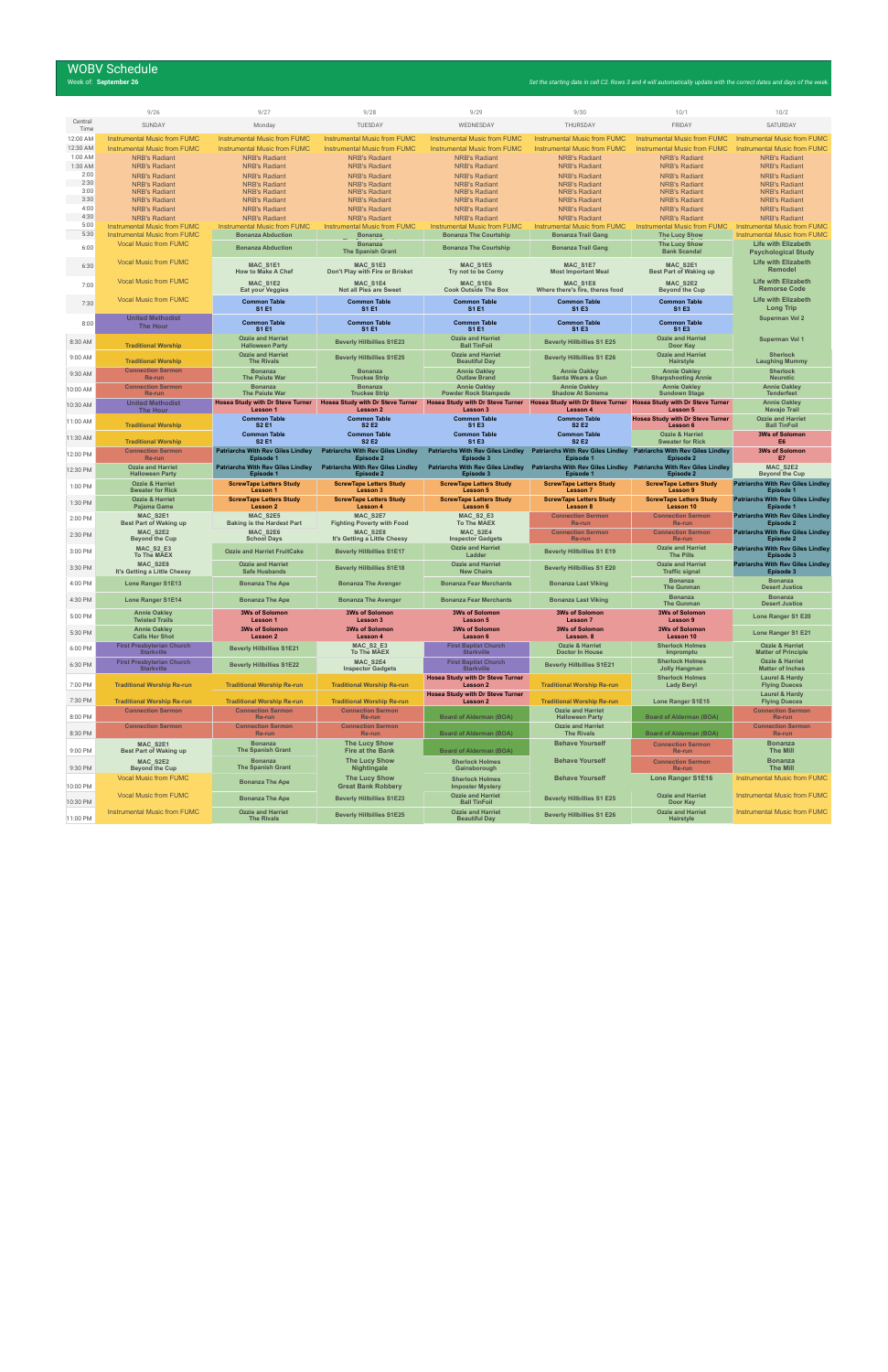# WOBV Schedule<br>Week of: September 26

|                 | 9/26                                                                       | 9/27                                                            | 9/28                                                            | 9/29                                                                                                                              | 9/30                                                                             | 10/1                                                             | 10/2                                                                       |
|-----------------|----------------------------------------------------------------------------|-----------------------------------------------------------------|-----------------------------------------------------------------|-----------------------------------------------------------------------------------------------------------------------------------|----------------------------------------------------------------------------------|------------------------------------------------------------------|----------------------------------------------------------------------------|
| Central<br>Time | SUNDAY                                                                     | Monday                                                          | TUESDAY                                                         | WEDNESDAY                                                                                                                         | THURSDAY                                                                         | <b>FRIDAY</b>                                                    | SATURDAY                                                                   |
| 12:00 AM        | <b>Instrumental Music from FUMC</b>                                        | <b>Instrumental Music from FUMC</b>                             | <b>Instrumental Music from FUMC</b>                             | Instrumental Music from FUMC                                                                                                      | Instrumental Music from FUMC                                                     | <b>Instrumental Music from FUMC</b>                              | <b>Instrumental Music from FUMC</b>                                        |
| 12:30 AM        | <b>Instrumental Music from FUMC</b>                                        | <b>Instrumental Music from FUMC</b>                             | <b>Instrumental Music from FUMC</b>                             | Instrumental Music from FUMC                                                                                                      | Instrumental Music from FUMC                                                     | <b>Instrumental Music from FUMC</b>                              | <b>Instrumental Music from FUMC</b>                                        |
| 1:00 AM         | <b>NRB's Radiant</b>                                                       | <b>NRB's Radiant</b>                                            | <b>NRB's Radiant</b>                                            | <b>NRB's Radiant</b>                                                                                                              | <b>NRB's Radiant</b>                                                             | <b>NRB's Radiant</b>                                             | <b>NRB's Radiant</b>                                                       |
| 1:30 AM         | <b>NRB's Radiant</b>                                                       | <b>NRB's Radiant</b>                                            | <b>NRB's Radiant</b>                                            | <b>NRB's Radiant</b>                                                                                                              | <b>NRB's Radiant</b>                                                             | <b>NRB's Radiant</b>                                             | <b>NRB's Radiant</b>                                                       |
| 2:00<br>2:30    | <b>NRB's Radiant</b>                                                       | <b>NRB's Radiant</b>                                            | <b>NRB's Radiant</b>                                            | <b>NRB's Radiant</b>                                                                                                              | <b>NRB's Radiant</b>                                                             | <b>NRB's Radiant</b>                                             | <b>NRB's Radiant</b>                                                       |
| 3:00            | <b>NRB's Radiant</b><br><b>NRB's Radiant</b>                               | <b>NRB's Radiant</b><br><b>NRB's Radiant</b>                    | <b>NRB's Radiant</b><br><b>NRB's Radiant</b>                    | <b>NRB's Radiant</b><br><b>NRB's Radiant</b>                                                                                      | <b>NRB's Radiant</b><br><b>NRB's Radiant</b>                                     | <b>NRB's Radiant</b><br><b>NRB's Radiant</b>                     | <b>NRB's Radiant</b><br><b>NRB's Radiant</b>                               |
| 3:30            | <b>NRB's Radiant</b>                                                       | <b>NRB's Radiant</b>                                            | <b>NRB's Radiant</b>                                            | <b>NRB's Radiant</b>                                                                                                              | <b>NRB's Radiant</b>                                                             | <b>NRB's Radiant</b>                                             | <b>NRB's Radiant</b>                                                       |
| 4:00            | <b>NRB's Radiant</b>                                                       | <b>NRB's Radiant</b>                                            | <b>NRB's Radiant</b>                                            | <b>NRB's Radiant</b>                                                                                                              | <b>NRB's Radiant</b>                                                             | <b>NRB's Radiant</b>                                             | <b>NRB's Radiant</b>                                                       |
| 4:30            | <b>NRB's Radiant</b>                                                       | <b>NRB's Radiant</b>                                            | <b>NRB's Radiant</b>                                            | <b>NRB's Radiant</b>                                                                                                              | <b>NRB's Radiant</b>                                                             | <b>NRB's Radiant</b>                                             | <b>NRB's Radiant</b>                                                       |
| 5:00<br>5:30    | <b>Instrumental Music from FUMC</b><br><b>Instrumental Music from FUMC</b> | <b>Instrumental Music from FUMC</b><br><b>Bonanza Abduction</b> | <b>Instrumental Music from FUMC</b><br><b>Bonanza</b>           | <b>Instrumental Music from FUMC</b><br><b>Bonanza The Courtship</b>                                                               | <b>Instrumental Music from FUMC</b><br><b>Bonanza Trail Gang</b>                 | <b>Instrumental Music from FUMC</b><br><b>The Lucy Show</b>      | <b>Instrumental Music from FUMC</b><br><b>Instrumental Music from FUMC</b> |
|                 | <b>Vocal Music from FUMC</b>                                               |                                                                 | <b>Bonanza</b>                                                  |                                                                                                                                   |                                                                                  | <b>The Lucy Show</b>                                             | <b>Life with Elizabeth</b>                                                 |
| 6:00            |                                                                            | <b>Bonanza Abduction</b>                                        | <b>The Spanish Grant</b>                                        | <b>Bonanza The Courtship</b>                                                                                                      | <b>Bonanza Trail Gang</b>                                                        | <b>Bank Scandal</b>                                              | <b>Psychological Study</b>                                                 |
| 6:30            | <b>Vocal Music from FUMC</b>                                               | MAC S1E1                                                        | MAC S1E3                                                        | <b>MAC S1E5</b>                                                                                                                   | <b>MAC S1E7</b>                                                                  | MAC S2E1                                                         | <b>Life with Elizabeth</b>                                                 |
|                 |                                                                            | <b>How to Make A Chef</b>                                       | Don't Play with Fire or Brisket                                 | Try not to be Corny                                                                                                               | <b>Most Important Meal</b>                                                       | <b>Best Part of Waking up</b>                                    | <b>Remodel</b>                                                             |
| 7:00            | <b>Vocal Music from FUMC</b>                                               | MAC S1E2                                                        | MAC_S1E4                                                        | MAC S1E6                                                                                                                          | MAC S1E8                                                                         | MAC S2E2                                                         | <b>Life with Elizabeth</b>                                                 |
|                 |                                                                            | Eat your Veggies                                                | <b>Not all Pies are Sweet</b>                                   | <b>Cook Outside The Box</b>                                                                                                       | Where there's fire, theres food                                                  | <b>Beyond the Cup</b>                                            | <b>Remorse Code</b>                                                        |
| 7:30            | <b>Vocal Music from FUMC</b>                                               | <b>Common Table</b>                                             | <b>Common Table</b>                                             | <b>Common Table</b><br><b>S1E1</b>                                                                                                | <b>Common Table</b><br><b>S1 E3</b>                                              | <b>Common Table</b>                                              | <b>Life with Elizabeth</b><br><b>Long Trip</b>                             |
|                 | <b>United Methodist</b>                                                    | <b>S1 E1</b>                                                    | <b>S1 E1</b>                                                    |                                                                                                                                   |                                                                                  | S1 E3                                                            | Superman Vol 2                                                             |
| 8:00            | <b>The Hour</b>                                                            | <b>Common Table</b><br><b>S1 E1</b>                             | <b>Common Table</b><br><b>S1 E1</b>                             | <b>Common Table</b><br><b>S1 E1</b>                                                                                               | <b>Common Table</b><br>S1 E3                                                     | <b>Common Table</b><br>S1 E3                                     |                                                                            |
| 8:30 AM         |                                                                            | <b>Ozzie and Harriet</b>                                        | <b>Beverly Hillbillies S1E23</b>                                | <b>Ozzie and Harriet</b>                                                                                                          | <b>Beverly Hillbillies S1 E25</b>                                                | <b>Ozzie and Harriet</b>                                         | Superman Vol 1                                                             |
|                 | <b>Traditional Worship</b>                                                 | <b>Halloween Party</b>                                          |                                                                 | <b>Ball TinFoil</b>                                                                                                               |                                                                                  | Door Key                                                         |                                                                            |
| 9:00 AM         | <b>Traditional Worship</b>                                                 | <b>Ozzie and Harriet</b><br><b>The Rivals</b>                   | <b>Beverly Hillbillies S1E25</b>                                | <b>Ozzie and Harriet</b><br><b>Beautiful Day</b>                                                                                  | <b>Beverly Hillbillies S1 E26</b>                                                | <b>Ozzie and Harriet</b><br>Hairstyle                            | <b>Sherlock</b><br><b>Laughing Mummy</b>                                   |
|                 | <b>Connection Sermon</b>                                                   | <b>Bonanza</b>                                                  | <b>Bonanza</b>                                                  | <b>Annie Oakley</b>                                                                                                               | <b>Annie Oakley</b>                                                              | <b>Annie Oakley</b>                                              | <b>Sherlock</b>                                                            |
| 9:30 AM         | Re-run                                                                     | <b>The Paiute War</b>                                           | <b>Truckee Strip</b>                                            | <b>Outlaw Brand</b>                                                                                                               | Santa Wears a Gun                                                                | <b>Sharpshooting Annie</b>                                       | <b>Neurotic</b>                                                            |
| 10:00 AM        | <b>Connection Sermon</b>                                                   | <b>Bonanza</b>                                                  | <b>Bonanza</b>                                                  | <b>Annie Oakley</b>                                                                                                               | <b>Annie Oakley</b>                                                              | <b>Annie Oakley</b>                                              | <b>Annie Oakley</b>                                                        |
|                 | Re-run<br><b>United Methodist</b>                                          | <b>The Paiute War</b><br>Hosea Study with Dr Steve Turner       | <b>Truckee Strip</b><br><b>Hosea Study with Dr Steve Turner</b> | <b>Powder Rock Stampede</b><br>Hosea Study with Dr Steve Turner Hosea Study with Dr Steve Turner Hosea Study with Dr Steve Turner | <b>Shadow At Sonoma</b>                                                          | <b>Sundown Stage</b>                                             | <b>Tenderfeet</b><br><b>Annie Oakley</b>                                   |
| 10:30 AM        | <b>The Hour</b>                                                            | Lesson 1                                                        | Lesson 2                                                        | Lesson 3                                                                                                                          | Lesson 4                                                                         | Lesson 5                                                         | Navajo Trail                                                               |
| 11:00 AM        | <b>Traditional Worship</b>                                                 | <b>Common Table</b><br><b>S2 E1</b>                             | <b>Common Table</b><br><b>S2 E2</b>                             | <b>Common Table</b><br>S1 E3                                                                                                      | <b>Common Table</b><br><b>S2 E2</b>                                              | <b>Hosea Study with Dr Steve Turner</b><br>Lesson 6              | <b>Ozzie and Harriet</b><br><b>Ball TinFoil</b>                            |
| 11:30 AM        |                                                                            | <b>Common Table</b>                                             | <b>Common Table</b>                                             | <b>Common Table</b>                                                                                                               | <b>Common Table</b>                                                              | <b>Ozzie &amp; Harriet</b>                                       | <b>3Ws of Solomon</b>                                                      |
|                 | <b>Traditional Worship</b>                                                 | <b>S2 E1</b>                                                    | <b>S2 E2</b>                                                    | S1 E3                                                                                                                             | <b>S2 E2</b>                                                                     | <b>Sweater for Rick</b>                                          | E <sub>6</sub>                                                             |
| 12:00 PM        | <b>Connection Sermon</b><br>Re-run                                         | <b>Patriarchs With Rev Giles Lindley</b><br>Episode 1           | <b>Patriarchs With Rev Giles Lindley</b><br>Episode 2           | <b>Patriarchs With Rev Giles Lindley</b>                                                                                          | Patriarchs With Rev Giles Lindley Patriarchs With Rev Giles Lindley              |                                                                  | <b>3Ws of Solomon</b>                                                      |
|                 |                                                                            |                                                                 |                                                                 | Episode 3                                                                                                                         | <b>Episode 1</b>                                                                 | <b>Episode 2</b>                                                 | E7                                                                         |
| 12:30 PM        | <b>Ozzie and Harriet</b><br><b>Halloween Party</b>                         | <b>Patriarchs With Rev Giles Lindley</b><br>Episode 1           | <b>Patriarchs With Rev Giles Lindley</b><br>Episode 2           | <b>Patriarchs With Rev Giles Lindley</b><br>Episode 3                                                                             | Patriarchs With Rev Giles Lindley Patriarchs With Rev Giles Lindley<br>Episode 1 | Episode 2                                                        | MAC S2E2<br><b>Beyond the Cup</b>                                          |
| 1:00 PM         | <b>Ozzie &amp; Harriet</b>                                                 | <b>ScrewTape Letters Study</b>                                  | <b>ScrewTape Letters Study</b>                                  | <b>ScrewTape Letters Study</b>                                                                                                    | <b>ScrewTape Letters Study</b>                                                   | <b>ScrewTape Letters Study</b>                                   | <b>Patriarchs With Rev Giles Lindley</b>                                   |
| 1:30 PM         | <b>Sweater for Rick</b><br><b>Ozzie &amp; Harriet</b>                      | Lesson 1<br><b>ScrewTape Letters Study</b>                      | Lesson 3<br><b>ScrewTape Letters Study</b>                      | Lesson 5<br><b>ScrewTape Letters Study</b>                                                                                        | <b>Lesson 7</b><br><b>ScrewTape Letters Study</b>                                | Lesson 9<br><b>ScrewTape Letters Study</b>                       | Episode 1<br><b>Patriarchs With Rev Giles Lindley</b>                      |
|                 | Pajama Game                                                                | Lesson 2                                                        | <b>Lesson 4</b>                                                 | Lesson 6                                                                                                                          | Lesson 8                                                                         | Lesson 10                                                        | <b>Episode 1</b>                                                           |
| 2:00 PM         | MAC S2E1<br><b>Best Part of Waking up</b>                                  | MAC_S2E5<br><b>Baking is the Hardest Part</b>                   | MAC_S2E7<br><b>Fighting Poverty with Food</b>                   | MAC_S2_E3<br><b>To The MAEX</b>                                                                                                   | <b>Connection Sermon</b><br>Re-run                                               | <b>Connection Sermon</b><br>Re-run                               | <b>Patriarchs With Rev Giles Lindley</b><br>Episode 2                      |
| 2:30 PM         | MAC_S2E2                                                                   | MAC S2E6                                                        | MAC_S2E8                                                        | MAC_S2E4                                                                                                                          | <b>Connection Sermon</b>                                                         | <b>Connection Sermon</b>                                         | <b>Patriarchs With Rev Giles Lindley</b>                                   |
|                 | <b>Beyond the Cup</b>                                                      | <b>School Days</b>                                              | It's Getting a Little Cheesy                                    | <b>Inspector Gadgets</b><br><b>Ozzie and Harriet</b>                                                                              | Re-run                                                                           | Re-run<br><b>Ozzie and Harriet</b>                               | Episode 2                                                                  |
| 3:00 PM         | MAC_S2_E3<br><b>To The MAEX</b>                                            | <b>Ozzie and Harriet FruitCake</b>                              | <b>Beverly Hillbillies S1E17</b>                                | Ladder                                                                                                                            | <b>Beverly Hillbillies S1 E19</b>                                                | <b>The Pills</b>                                                 | <b>Patriarchs With Rev Giles Lindley</b><br>Episode 3                      |
| 3:30 PM         | MAC S2E8<br>It's Getting a Little Cheesy                                   | <b>Ozzie and Harriet</b><br><b>Safe Husbands</b>                | <b>Beverly Hillbillies S1E18</b>                                | <b>Ozzie and Harriet</b><br><b>New Chairs</b>                                                                                     | <b>Beverly Hillbillies S1 E20</b>                                                | <b>Ozzie and Harriet</b><br><b>Traffic signal</b>                | <b>Patriarchs With Rev Giles Lindley</b><br>Episode 3                      |
| 4:00 PM         | <b>Lone Ranger S1E13</b>                                                   | <b>Bonanza The Ape</b>                                          | <b>Bonanza The Avenger</b>                                      | <b>Bonanza Fear Merchants</b>                                                                                                     | <b>Bonanza Last Viking</b>                                                       | <b>Bonanza</b><br><b>The Gunman</b>                              | <b>Bonanza</b><br><b>Desert Justice</b>                                    |
| 4:30 PM         | Lone Ranger S1E14                                                          | <b>Bonanza The Ape</b>                                          | <b>Bonanza The Avenger</b>                                      | <b>Bonanza Fear Merchants</b>                                                                                                     | <b>Bonanza Last Viking</b>                                                       | <b>Bonanza</b>                                                   | <b>Bonanza</b>                                                             |
|                 | <b>Annie Oakley</b>                                                        | <b>3Ws of Solomon</b>                                           | <b>3Ws of Solomon</b>                                           | <b>3Ws of Solomon</b>                                                                                                             | <b>3Ws of Solomon</b>                                                            | <b>The Gunman</b><br><b>3Ws of Solomon</b>                       | <b>Desert Justice</b>                                                      |
| 5:00 PM         | <b>Twisted Trails</b>                                                      | Lesson 1                                                        | Lesson 3                                                        | Lesson 5                                                                                                                          | Lesson 7                                                                         | Lesson 9                                                         | Lone Ranger S1 E20                                                         |
| 5:30 PM         | <b>Annie Oakley</b><br><b>Calls Her Shot</b>                               | <b>3Ws of Solomon</b><br>Lesson 2                               | <b>3Ws of Solomon</b><br>Lesson 4                               | <b>3Ws of Solomon</b><br>Lesson 6                                                                                                 | <b>3Ws of Solomon</b><br>Lesson. 8                                               | <b>3Ws of Solomon</b><br>Lesson 10                               | Lone Ranger S1 E21                                                         |
| 6:00 PM         | <b>First Presbyterian Church</b>                                           | <b>Beverly Hillbillies S1E21</b>                                | MAC_S2_E3                                                       | <b>First Baptist Church</b>                                                                                                       | <b>Ozzie &amp; Harriet</b>                                                       | <b>Sherlock Holmes</b>                                           | <b>Ozzie &amp; Harriet</b>                                                 |
|                 | <b>Starkville</b><br><b>First Presbyterian Church</b>                      |                                                                 | To The MAEX<br>MAC S2E4                                         | <b>Starkville</b><br><b>First Baptist Church</b>                                                                                  | <b>Doctor In House</b>                                                           | Impromptu<br><b>Sherlock Holmes</b>                              | <b>Matter of Principle</b><br><b>Ozzie &amp; Harriet</b>                   |
| 6:30 PM         | <b>Starkville</b>                                                          | <b>Beverly Hillbillies S1E22</b>                                | <b>Inspector Gadgets</b>                                        | <b>Starkville</b>                                                                                                                 | <b>Beverly Hillbillies S1E21</b>                                                 | <b>Jolly Hangman</b>                                             | <b>Matter of Inches</b>                                                    |
| 7:00 PM         |                                                                            |                                                                 |                                                                 | <b>Hosea Study with Dr Steve Turner</b><br>Lesson 2                                                                               |                                                                                  | <b>Sherlock Holmes</b>                                           | <b>Laurel &amp; Hardy</b>                                                  |
|                 | <b>Traditional Worship Re-run</b>                                          | <b>Traditional Worship Re-run</b>                               | <b>Traditional Worship Re-run</b>                               | <b>Hosea Study with Dr Steve Turner</b>                                                                                           | <b>Traditional Worship Re-run</b>                                                | <b>Lady Beryl</b>                                                | <b>Flying Dueces</b><br><b>Laurel &amp; Hardy</b>                          |
| 7:30 PM         | <b>Traditional Worship Re-run</b>                                          | <b>Traditional Worship Re-run</b>                               | <b>Traditional Worship Re-run</b>                               | Lesson 2                                                                                                                          | <b>Traditional Worship Re-run</b>                                                | Lone Ranger S1E15                                                | <b>Flying Dueces</b>                                                       |
| 8:00 PM         | <b>Connection Sermon</b>                                                   | <b>Connection Sermon</b><br>Re-run                              | <b>Connection Sermon</b><br>Re-run                              | <b>Board of Alderman (BOA)</b>                                                                                                    | <b>Ozzie and Harriet</b><br><b>Halloween Party</b>                               | <b>Board of Alderman (BOA)</b>                                   | <b>Connection Sermon</b><br>Re-run                                         |
| 8:30 PM         | <b>Connection Sermon</b>                                                   | <b>Connection Sermon</b><br>Re-run                              | <b>Connection Sermon</b><br>Re-run                              | Board of Alderman (BOA)                                                                                                           | <b>Ozzie and Harriet</b><br><b>The Rivals</b>                                    | <b>Board of Alderman (BOA)</b>                                   | <b>Connection Sermon</b><br>Re-run                                         |
|                 | MAC S2E1                                                                   | <b>Bonanza</b><br><b>The Spanish Grant</b>                      | <b>The Lucy Show</b>                                            |                                                                                                                                   | <b>Behave Yourself</b>                                                           | <b>Connection Sermon</b>                                         | <b>Bonanza</b>                                                             |
| 9:00 PM         | <b>Best Part of Waking up</b>                                              | <b>Bonanza</b>                                                  | <b>Fire at the Bank</b><br><b>The Lucy Show</b>                 | <b>Board of Alderman (BOA)</b>                                                                                                    | <b>Behave Yourself</b>                                                           | Re-run                                                           | <b>The Mill</b><br><b>Bonanza</b>                                          |
| 9:30 PM         | MAC_S2E2<br><b>Beyond the Cup</b>                                          | <b>The Spanish Grant</b>                                        | Nightingale                                                     | <b>Sherlock Holmes</b><br>Gainsborough                                                                                            |                                                                                  | <b>Connection Sermon</b><br>Re-run                               | <b>The Mill</b>                                                            |
|                 | <b>Vocal Music from FUMC</b>                                               | <b>Bonanza The Ape</b>                                          | <b>The Lucy Show</b>                                            | <b>Sherlock Holmes</b>                                                                                                            | <b>Behave Yourself</b>                                                           | <b>Lone Ranger S1E16</b>                                         | <b>Instrumental Music from FUMC</b>                                        |
| 10:00 PM        |                                                                            |                                                                 | <b>Great Bank Robbery</b>                                       | <b>Imposter Mystery</b>                                                                                                           |                                                                                  |                                                                  |                                                                            |
| 10:30 PM        | <b>Vocal Music from FUMC</b><br>Instrumental Music from FUMC               | <b>Bonanza The Ape</b><br><b>Ozzie and Harriet</b>              | <b>Beverly Hillbillies S1E23</b>                                | <b>Ozzie and Harriet</b><br><b>Ball TinFoil</b><br><b>Ozzie and Harriet</b>                                                       | <b>Beverly Hillbillies S1 E25</b>                                                | <b>Ozzie and Harriet</b><br>Door Key<br><b>Ozzie and Harriet</b> | <b>Instrumental Music from FUMC</b><br><b>Instrumental Music from FUMC</b> |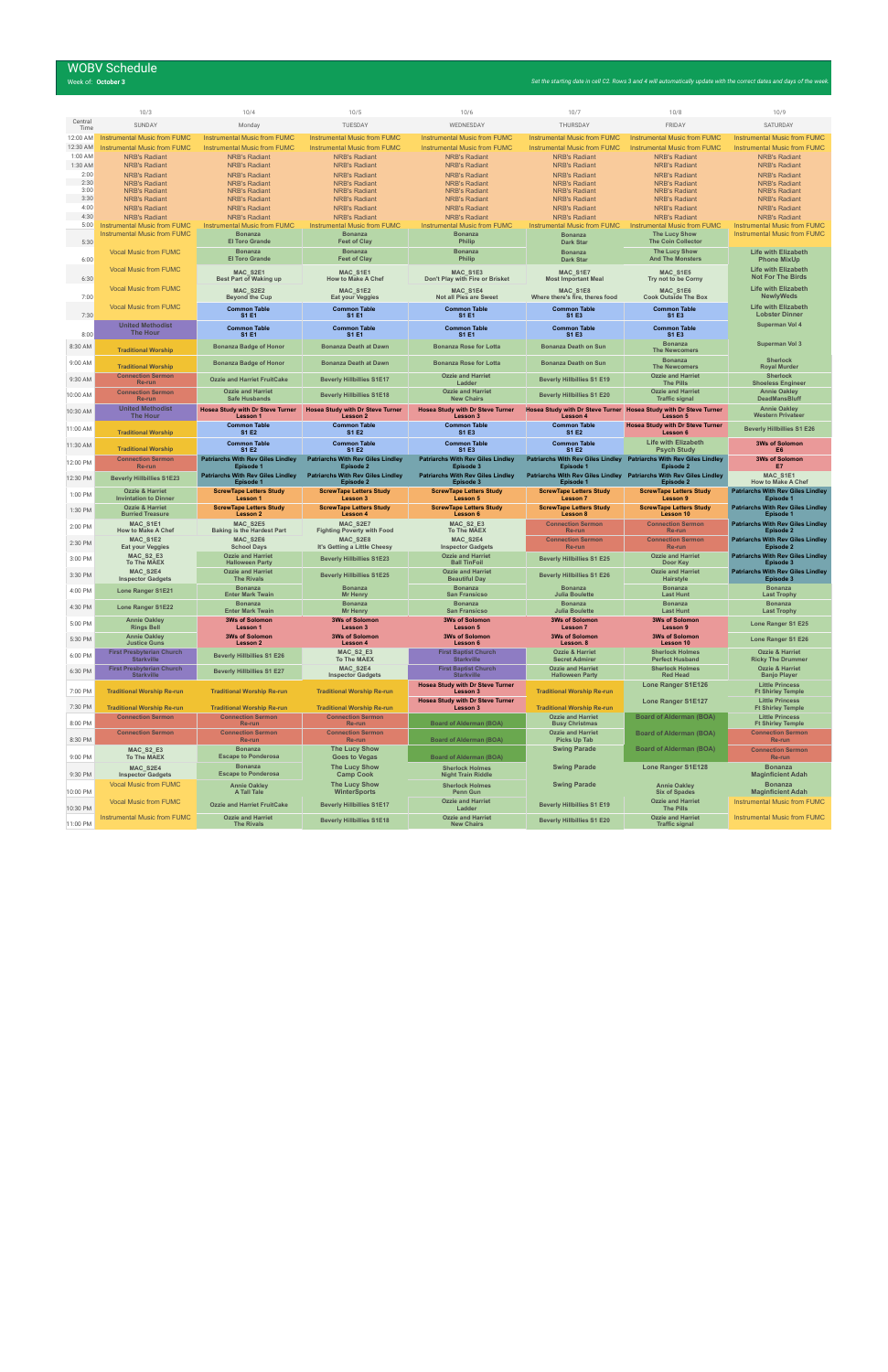# WOBV Schedule<br>Week of: October 3

| Week of: <b>October 3</b> | Set the starting date in cell C2. Rows 3 and 4 will automatically update with the correct dates and days of the week. |
|---------------------------|-----------------------------------------------------------------------------------------------------------------------|
|                           |                                                                                                                       |

|                     | 10/3                                                                | 10/4                                                            | 10/5                                                        | 10/6                                                           | 10/7                                                 | 10/8                                                                                       | 10/9                                                                       |
|---------------------|---------------------------------------------------------------------|-----------------------------------------------------------------|-------------------------------------------------------------|----------------------------------------------------------------|------------------------------------------------------|--------------------------------------------------------------------------------------------|----------------------------------------------------------------------------|
| Central<br>Time     | SUNDAY                                                              | Monday                                                          | TUESDAY                                                     | WEDNESDAY                                                      | THURSDAY                                             | <b>FRIDAY</b>                                                                              | SATURDAY                                                                   |
| 12:00 AM            | <b>Instrumental Music from FUMC</b>                                 | <b>Instrumental Music from FUMC</b>                             | <b>Instrumental Music from FUMC</b>                         | <b>Instrumental Music from FUMC</b>                            | <b>Instrumental Music from FUMC</b>                  | <b>Instrumental Music from FUMC</b>                                                        | <b>Instrumental Music from FUMC</b>                                        |
| 12:30 AM<br>1:00 AM | <b>Instrumental Music from FUMC</b><br><b>NRB's Radiant</b>         | <b>Instrumental Music from FUMC</b><br><b>NRB's Radiant</b>     | <b>Instrumental Music from FUMC</b><br><b>NRB's Radiant</b> | <b>Instrumental Music from FUMC</b><br><b>NRB's Radiant</b>    | Instrumental Music from FUMC<br><b>NRB's Radiant</b> | <b>Instrumental Music from FUMC</b><br><b>NRB's Radiant</b>                                | <b>Instrumental Music from FUMC</b><br><b>NRB's Radiant</b>                |
| 1:30 AM             | <b>NRB's Radiant</b>                                                | <b>NRB's Radiant</b>                                            | <b>NRB's Radiant</b>                                        | <b>NRB's Radiant</b>                                           | <b>NRB's Radiant</b>                                 | <b>NRB's Radiant</b>                                                                       | <b>NRB's Radiant</b>                                                       |
| 2:00                | <b>NRB's Radiant</b>                                                | <b>NRB's Radiant</b>                                            | <b>NRB's Radiant</b>                                        | <b>NRB's Radiant</b>                                           | <b>NRB's Radiant</b>                                 | <b>NRB's Radiant</b>                                                                       | <b>NRB's Radiant</b>                                                       |
| 2:30<br>3:00        | <b>NRB's Radiant</b><br><b>NRB's Radiant</b>                        | <b>NRB's Radiant</b><br><b>NRB's Radiant</b>                    | <b>NRB's Radiant</b><br><b>NRB's Radiant</b>                | <b>NRB's Radiant</b><br><b>NRB's Radiant</b>                   | <b>NRB's Radiant</b><br><b>NRB's Radiant</b>         | <b>NRB's Radiant</b><br><b>NRB's Radiant</b>                                               | <b>NRB's Radiant</b><br><b>NRB's Radiant</b>                               |
| 3:30                | <b>NRB's Radiant</b>                                                | <b>NRB's Radiant</b>                                            | <b>NRB's Radiant</b>                                        | <b>NRB's Radiant</b>                                           | <b>NRB's Radiant</b>                                 | <b>NRB's Radiant</b>                                                                       | <b>NRB's Radiant</b>                                                       |
| 4:00<br>4:30        | <b>NRB's Radiant</b><br><b>NRB's Radiant</b>                        | <b>NRB's Radiant</b><br><b>NRB's Radiant</b>                    | <b>NRB's Radiant</b><br><b>NRB's Radiant</b>                | <b>NRB's Radiant</b><br><b>NRB's Radiant</b>                   | <b>NRB's Radiant</b><br><b>NRB's Radiant</b>         | <b>NRB's Radiant</b><br><b>NRB's Radiant</b>                                               | <b>NRB's Radiant</b><br><b>NRB's Radiant</b>                               |
| 5:00                | <b>Instrumental Music from FUMC</b>                                 | <b>Instrumental Music from FUMC</b>                             | <b>Instrumental Music from FUMC</b>                         | <b>Instrumental Music from FUMC</b>                            | Instrumental Music from FUMC                         | <b>Instrumental Music from FUMC</b>                                                        | <b>Instrumental Music from FUMC</b>                                        |
| 5:30                | <b>Instrumental Music from FUMC</b>                                 | <b>Bonanza</b><br><b>El Toro Grande</b>                         | <b>Bonanza</b><br><b>Feet of Clay</b>                       | <b>Bonanza</b><br>Philip                                       | <b>Bonanza</b><br><b>Dark Star</b>                   | <b>The Lucy Show</b><br><b>The Coin Collector</b>                                          | <b>Instrumental Music from FUMC</b>                                        |
| 6:00                | <b>Vocal Music from FUMC</b>                                        | <b>Bonanza</b><br><b>El Toro Grande</b>                         | <b>Bonanza</b><br><b>Feet of Clay</b>                       | <b>Bonanza</b><br>Philip                                       | <b>Bonanza</b><br><b>Dark Star</b>                   | <b>The Lucy Show</b><br><b>And The Monsters</b>                                            | <b>Life with Elizabeth</b><br><b>Phone MixUp</b>                           |
| 6:30                | <b>Vocal Music from FUMC</b>                                        | MAC_S2E1<br><b>Best Part of Waking up</b>                       | MAC S1E1<br><b>How to Make A Chef</b>                       | MAC S1E3<br>Don't Play with Fire or Brisket                    | MAC_S1E7<br><b>Most Important Meal</b>               | MAC_S1E5<br>Try not to be Corny                                                            | <b>Life with Elizabeth</b><br><b>Not For The Birds</b>                     |
| 7:00                | <b>Vocal Music from FUMC</b>                                        | MAC S2E2<br><b>Beyond the Cup</b>                               | MAC S1E2<br><b>Eat your Veggies</b>                         | MAC_S1E4<br><b>Not all Pies are Sweet</b>                      | MAC S1E8<br>Where there's fire, theres food          | MAC S1E6<br><b>Cook Outside The Box</b>                                                    | <b>Life with Elizabeth</b><br><b>NewlyWeds</b>                             |
| 7:30                | <b>Vocal Music from FUMC</b>                                        | <b>Common Table</b><br>S1 E1                                    | <b>Common Table</b><br><b>S1 E1</b>                         | <b>Common Table</b><br><b>S1E1</b>                             | <b>Common Table</b><br>S1 E3                         | <b>Common Table</b><br>S1 E3                                                               | <b>Life with Elizabeth</b><br><b>Lobster Dinner</b>                        |
|                     | <b>United Methodist</b><br>The Hour                                 | <b>Common Table</b>                                             | <b>Common Table</b>                                         | <b>Common Table</b>                                            | <b>Common Table</b>                                  | <b>Common Table</b>                                                                        | Superman Vol 4                                                             |
| 8:00<br>8:30 AM     |                                                                     | <b>S1 E1</b><br><b>Bonanza Badge of Honor</b>                   | <b>S1 E1</b><br><b>Bonanza Death at Dawn</b>                | <b>S1E1</b><br><b>Bonanza Rose for Lotta</b>                   | S1 E3<br><b>Bonanza Death on Sun</b>                 | S1 E3<br><b>Bonanza</b>                                                                    | Superman Vol 3                                                             |
| 9:00 AM             | <b>Traditional Worship</b>                                          | <b>Bonanza Badge of Honor</b>                                   | <b>Bonanza Death at Dawn</b>                                | <b>Bonanza Rose for Lotta</b>                                  | <b>Bonanza Death on Sun</b>                          | <b>The Newcomers</b><br><b>Bonanza</b>                                                     | <b>Sherlock</b>                                                            |
| 9:30 AM             | <b>Traditional Worship</b><br><b>Connection Sermon</b>              | <b>Ozzie and Harriet FruitCake</b>                              | <b>Beverly Hillbillies S1E17</b>                            | <b>Ozzie and Harriet</b>                                       | <b>Beverly Hillbillies S1 E19</b>                    | <b>The Newcomers</b><br><b>Ozzie and Harriet</b>                                           | <b>Royal Murder</b><br><b>Sherlock</b>                                     |
| 10:00 AM            | Re-run<br><b>Connection Sermon</b>                                  | <b>Ozzie and Harriet</b>                                        | <b>Beverly Hillbillies S1E18</b>                            | Ladder<br><b>Ozzie and Harriet</b>                             | <b>Beverly Hillbillies S1 E20</b>                    | <b>The Pills</b><br><b>Ozzie and Harriet</b>                                               | <b>Shoeless Engineer</b><br><b>Annie Oakley</b>                            |
| 10:30 AM            | Re-run<br><b>United Methodist</b>                                   | <b>Safe Husbands</b><br><b>Hosea Study with Dr Steve Turner</b> | <b>Hosea Study with Dr Steve Turner</b>                     | <b>New Chairs</b><br><b>Hosea Study with Dr Steve Turner</b>   |                                                      | <b>Traffic signal</b><br>Hosea Study with Dr Steve Turner Hosea Study with Dr Steve Turner | <b>DeadMansBluff</b><br><b>Annie Oakley</b>                                |
| 11:00 AM            | <b>The Hour</b>                                                     | Lesson 1<br><b>Common Table</b>                                 | Lesson 2<br><b>Common Table</b>                             | Lesson 3<br><b>Common Table</b>                                | Lesson 4<br><b>Common Table</b>                      | Lesson 5<br><b>Hosea Study with Dr Steve Turner</b>                                        | <b>Western Privateer</b><br><b>Beverly Hillbillies S1 E26</b>              |
|                     | <b>Traditional Worship</b>                                          | S1 E2<br><b>Common Table</b>                                    | S1 E2<br><b>Common Table</b>                                | <b>S1E3</b><br><b>Common Table</b>                             | <b>S1 E2</b><br><b>Common Table</b>                  | Lesson 6<br><b>Life with Elizabeth</b>                                                     | <b>3Ws of Solomon</b>                                                      |
| 11:30 AM            | <b>Traditional Worship</b><br><b>Connection Sermon</b>              | <b>S1 E2</b><br><b>Patriarchs With Rev Giles Lindley</b>        | <b>S1 E2</b><br><b>Patriarchs With Rev Giles Lindley</b>    | S1 E3<br><b>Patriarchs With Rev Giles Lindley</b>              | <b>S1 E2</b>                                         | <b>Psych Study</b><br>Patriarchs With Rev Giles Lindley Patriarchs With Rev Giles Lindley  | E <sub>6</sub><br><b>3Ws of Solomon</b>                                    |
| 12:00 PM            | Re-run                                                              | Episode 1                                                       | Episode 2                                                   |                                                                |                                                      | Episode 2                                                                                  | E7                                                                         |
|                     |                                                                     |                                                                 |                                                             | Episode 3                                                      | Episode 1                                            |                                                                                            |                                                                            |
| 12:30 PM            | <b>Beverly Hillbillies S1E23</b>                                    | <b>Patriarchs With Rev Giles Lindley</b><br><b>Episode 1</b>    | <b>Patriarchs With Rev Giles Lindley</b><br>Episode 2       | <b>Patriarchs With Rev Giles Lindley</b><br>Episode 3          | <b>Episode 1</b>                                     | Patriarchs With Rev Giles Lindley Patriarchs With Rev Giles Lindley<br>Episode 2           | MAC_S1E1<br><b>How to Make A Chef</b>                                      |
| 1:00 PM             | <b>Ozzie &amp; Harriet</b><br><b>Invintation to Dinner</b>          | <b>ScrewTape Letters Study</b><br><b>Lesson 1</b>               | <b>ScrewTape Letters Study</b><br>Lesson 3                  | <b>ScrewTape Letters Study</b><br><b>Lesson 5</b>              | <b>ScrewTape Letters Study</b><br><b>Lesson 7</b>    | <b>ScrewTape Letters Study</b><br><b>Lesson 9</b>                                          | <b>Patriarchs With Rev Giles Lindley</b><br>Episode 1                      |
| 1:30 PM             | <b>Ozzie &amp; Harriet</b><br><b>Burried Treasure</b>               | <b>ScrewTape Letters Study</b><br>Lesson 2                      | <b>ScrewTape Letters Study</b><br>Lesson 4                  | <b>ScrewTape Letters Study</b><br>Lesson 6                     | <b>ScrewTape Letters Study</b><br>Lesson 8           | <b>ScrewTape Letters Study</b><br>Lesson 10                                                | <b>Patriarchs With Rev Giles Lindley</b><br><b>Episode 1</b>               |
| 2:00 PM             | <b>MAC S1E1</b>                                                     | MAC_S2E5                                                        | MAC_S2E7                                                    | MAC_S2_E3                                                      | <b>Connection Sermon</b>                             | <b>Connection Sermon</b>                                                                   | <b>Patriarchs With Rev Giles Lindley</b>                                   |
|                     | <b>How to Make A Chef</b><br>MAC S1E2                               | <b>Baking is the Hardest Part</b><br>MAC S2E6                   | <b>Fighting Poverty with Food</b><br>MAC S2E8               | <b>To The MAEX</b><br>MAC S2E4                                 | Re-run<br><b>Connection Sermon</b>                   | Re-run<br><b>Connection Sermon</b>                                                         | Episode 2<br><b>Patriarchs With Rev Giles Lindley</b>                      |
| 2:30 PM             | <b>Eat your Veggies</b>                                             | <b>School Days</b>                                              | It's Getting a Little Cheesy                                | <b>Inspector Gadgets</b>                                       | Re-run                                               | Re-run                                                                                     | Episode 2                                                                  |
| 3:00 PM             | MAC_S2_E3<br><b>To The MAEX</b>                                     | <b>Ozzie and Harriet</b><br><b>Halloween Party</b>              | <b>Beverly Hillbillies S1E23</b>                            | <b>Ozzie and Harriet</b><br><b>Ball TinFoil</b>                | <b>Beverly Hillbillies S1 E25</b>                    | <b>Ozzie and Harriet</b><br>Door Key                                                       | <b>Patriarchs With Rev Giles Lindley</b><br>Episode 3                      |
| 3:30 PM             | MAC S2E4<br><b>Inspector Gadgets</b>                                | <b>Ozzie and Harriet</b><br><b>The Rivals</b>                   | <b>Beverly Hillbillies S1E25</b>                            | <b>Ozzie and Harriet</b><br><b>Beautiful Day</b>               | <b>Beverly Hillbillies S1 E26</b>                    | <b>Ozzie and Harriet</b><br>Hairstyle                                                      | <b>Patriarchs With Rev Giles Lindlev</b><br>Episode 3                      |
| 4:00 PM             | <b>Lone Ranger S1E21</b>                                            | <b>Bonanza</b><br><b>Enter Mark Twain</b>                       | <b>Bonanza</b><br>Mr Henry                                  | <b>Bonanza</b><br><b>San Fransicso</b>                         | <b>Bonanza</b><br><b>Julia Boulette</b>              | <b>Bonanza</b><br><b>Last Hunt</b>                                                         | <b>Bonanza</b><br><b>Last Trophy</b>                                       |
| 4:30 PM             | <b>Lone Ranger S1E22</b>                                            | <b>Bonanza</b><br><b>Enter Mark Twain</b>                       | <b>Bonanza</b><br><b>Mr Henry</b>                           | <b>Bonanza</b><br><b>San Fransicso</b>                         | <b>Bonanza</b><br><b>Julia Boulette</b>              | <b>Bonanza</b><br><b>Last Hunt</b>                                                         | <b>Bonanza</b><br><b>Last Trophy</b>                                       |
| 5:00 PM             | <b>Annie Oakley</b><br><b>Rings Bell</b>                            | <b>3Ws of Solomon</b><br>Lesson 1                               | <b>3Ws of Solomon</b><br>Lesson 3                           | <b>3Ws of Solomon</b><br><b>Lesson 5</b>                       | <b>3Ws of Solomon</b><br>Lesson 7                    | <b>3Ws of Solomon</b><br>Lesson 9                                                          | <b>Lone Ranger S1 E25</b>                                                  |
| 5:30 PM             | <b>Annie Oakley</b><br><b>Justice Guns</b>                          | <b>3Ws of Solomon</b><br>Lesson 2                               | <b>3Ws of Solomon</b><br>Lesson 4                           | <b>3Ws of Solomon</b><br>Lesson 6                              | <b>3Ws of Solomon</b><br>Lesson. 8                   | <b>3Ws of Solomon</b><br>Lesson 10                                                         | Lone Ranger S1 E26                                                         |
| 6:00 PM             | <b>First Presbyterian Church</b><br><b>Starkville</b>               | <b>Beverly Hillbillies S1 E26</b>                               | <b>MAC_S2_E3</b><br><b>To The MAEX</b>                      | <b>First Baptist Church</b><br><b>Starkville</b>               | <b>Ozzie &amp; Harriet</b><br><b>Secret Admirer</b>  | <b>Sherlock Holmes</b><br><b>Perfect Husband</b>                                           | <b>Ozzie &amp; Harriet</b><br><b>Ricky The Drummer</b>                     |
| 6:30 PM             | <b>First Presbyterian Church</b><br><b>Starkville</b>               | <b>Beverly Hillbillies S1 E27</b>                               | MAC_S2E4<br><b>Inspector Gadgets</b>                        | <b>First Baptist Church</b><br><b>Starkville</b>               | <b>Ozzie and Harriet</b><br><b>Halloween Party</b>   | <b>Sherlock Holmes</b><br><b>Red Head</b>                                                  | <b>Ozzie &amp; Harriet</b><br><b>Banjo Player</b>                          |
| 7:00 PM             | <b>Traditional Worship Re-run</b>                                   | <b>Traditional Worship Re-run</b>                               | <b>Traditional Worship Re-run</b>                           | <b>Hosea Study with Dr Steve Turner</b><br>Lesson 3            | <b>Traditional Worship Re-run</b>                    | Lone Ranger S1E126                                                                         | <b>Little Princess</b><br><b>Ft Shirley Temple</b>                         |
| 7:30 PM             | <b>Traditional Worship Re-run</b>                                   | <b>Traditional Worship Re-run</b>                               | <b>Traditional Worship Re-run</b>                           | <b>Hosea Study with Dr Steve Turner</b><br>Lesson 3            | <b>Traditional Worship Re-run</b>                    | <b>Lone Ranger S1E127</b>                                                                  | <b>Little Princess</b><br><b>Ft Shirley Temple</b>                         |
| 8:00 PM             | <b>Connection Sermon</b>                                            | <b>Connection Sermon</b><br>Re-run                              | <b>Connection Sermon</b><br>Re-run                          | <b>Board of Alderman (BOA)</b>                                 | <b>Ozzie and Harriet</b><br><b>Busy Christmas</b>    | <b>Board of Alderman (BOA)</b>                                                             | <b>Little Princess</b><br><b>Ft Shirley Temple</b>                         |
| 8:30 PM             | <b>Connection Sermon</b>                                            | <b>Connection Sermon</b><br>Re-run                              | <b>Connection Sermon</b><br>Re-run                          | <b>Board of Alderman (BOA)</b>                                 | <b>Ozzie and Harriet</b><br><b>Picks Up Tab</b>      | <b>Board of Alderman (BOA)</b>                                                             | <b>Connection Sermon</b><br>Re-run                                         |
| 9:00 PM             | MAC_S2_E3<br><b>To The MAEX</b>                                     | <b>Bonanza</b><br><b>Escape to Ponderosa</b>                    | <b>The Lucy Show</b><br><b>Goes to Vegas</b>                | <b>Board of Alderman (BOA)</b>                                 | <b>Swing Parade</b>                                  | <b>Board of Alderman (BOA)</b>                                                             | <b>Connection Sermon</b><br>Re-run                                         |
|                     | MAC_S2E4                                                            | <b>Bonanza</b>                                                  | <b>The Lucy Show</b>                                        | <b>Sherlock Holmes</b>                                         | <b>Swing Parade</b>                                  | <b>Lone Ranger S1E128</b>                                                                  | <b>Bonanza</b>                                                             |
| 9:30 PM             | <b>Inspector Gadgets</b><br><b>Vocal Music from FUMC</b>            | <b>Escape to Ponderosa</b>                                      | <b>Camp Cook</b><br><b>The Lucy Show</b>                    | <b>Night Train Riddle</b>                                      | <b>Swing Parade</b>                                  |                                                                                            | <b>Maginficient Adah</b><br><b>Bonanza</b>                                 |
| 10:00 PM            |                                                                     | <b>Annie Oakley</b><br>A Tall Tale                              | <b>WinterSports</b>                                         | <b>Sherlock Holmes</b><br>Penn Gun                             |                                                      | <b>Annie Oakley</b><br><b>Six of Spades</b>                                                | <b>Maginficient Adah</b>                                                   |
| 10:30 PM            | <b>Vocal Music from FUMC</b><br><b>Instrumental Music from FUMC</b> | <b>Ozzie and Harriet FruitCake</b><br><b>Ozzie and Harriet</b>  | <b>Beverly Hillbillies S1E17</b>                            | <b>Ozzie and Harriet</b><br>Ladder<br><b>Ozzie and Harriet</b> | <b>Beverly Hillbillies S1 E19</b>                    | <b>Ozzie and Harriet</b><br><b>The Pills</b><br><b>Ozzie and Harriet</b>                   | <b>Instrumental Music from FUMC</b><br><b>Instrumental Music from FUMC</b> |